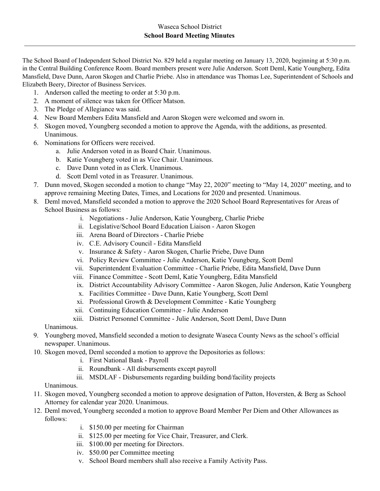The School Board of Independent School District No. 829 held a regular meeting on January 13, 2020, beginning at 5:30 p.m. in the Central Building Conference Room. Board members present were Julie Anderson. Scott Deml, Katie Youngberg, Edita Mansfield, Dave Dunn, Aaron Skogen and Charlie Priebe. Also in attendance was Thomas Lee, Superintendent of Schools and Elizabeth Beery, Director of Business Services.

- 1. Anderson called the meeting to order at 5:30 p.m.
- 2. A moment of silence was taken for Officer Matson.
- 3. The Pledge of Allegiance was said.
- 4. New Board Members Edita Mansfield and Aaron Skogen were welcomed and sworn in.
- 5. Skogen moved, Youngberg seconded a motion to approve the Agenda, with the additions, as presented. Unanimous.
- 6. Nominations for Officers were received.
	- a. Julie Anderson voted in as Board Chair. Unanimous.
	- b. Katie Youngberg voted in as Vice Chair. Unanimous.
	- c. Dave Dunn voted in as Clerk. Unanimous.
	- d. Scott Deml voted in as Treasurer. Unanimous.
- 7. Dunn moved, Skogen seconded a motion to change "May 22, 2020" meeting to "May 14, 2020" meeting, and to approve remaining Meeting Dates, Times, and Locations for 2020 and presented. Unanimous.
- 8. Deml moved, Mansfield seconded a motion to approve the 2020 School Board Representatives for Areas of School Business as follows:
	- i. Negotiations Julie Anderson, Katie Youngberg, Charlie Priebe
	- ii. Legislative/School Board Education Liaison Aaron Skogen
	- iii. Arena Board of Directors Charlie Priebe
	- iv. C.E. Advisory Council Edita Mansfield
	- v. Insurance & Safety Aaron Skogen, Charlie Priebe, Dave Dunn
	- vi. Policy Review Committee Julie Anderson, Katie Youngberg, Scott Deml
	- vii. Superintendent Evaluation Committee Charlie Priebe, Edita Mansfield, Dave Dunn
	- viii. Finance Committee Scott Deml, Katie Youngberg, Edita Mansfield
	- ix. District Accountability Advisory Committee Aaron Skogen, Julie Anderson, Katie Youngberg
	- x. Facilities Committee Dave Dunn, Katie Youngberg, Scott Deml
	- xi. Professional Growth & Development Committee Katie Youngberg
	- xii. Continuing Education Committee Julie Anderson
	- xiii. District Personnel Committee Julie Anderson, Scott Deml, Dave Dunn

Unanimous.

- 9. Youngberg moved, Mansfield seconded a motion to designate Waseca County News as the school's official newspaper. Unanimous.
- 10. Skogen moved, Deml seconded a motion to approve the Depositories as follows:
	- i. First National Bank Payroll
	- ii. Roundbank All disbursements except payroll
	- iii. MSDLAF Disbursements regarding building bond/facility projects

Unanimous.

- 11. Skogen moved, Youngberg seconded a motion to approve designation of Patton, Hoversten, & Berg as School Attorney for calendar year 2020. Unanimous.
- 12. Deml moved, Youngberg seconded a motion to approve Board Member Per Diem and Other Allowances as follows:
	- i. \$150.00 per meeting for Chairman
	- ii. \$125.00 per meeting for Vice Chair, Treasurer, and Clerk.
	- iii. \$100.00 per meeting for Directors.
	- iv. \$50.00 per Committee meeting
	- v. School Board members shall also receive a Family Activity Pass.